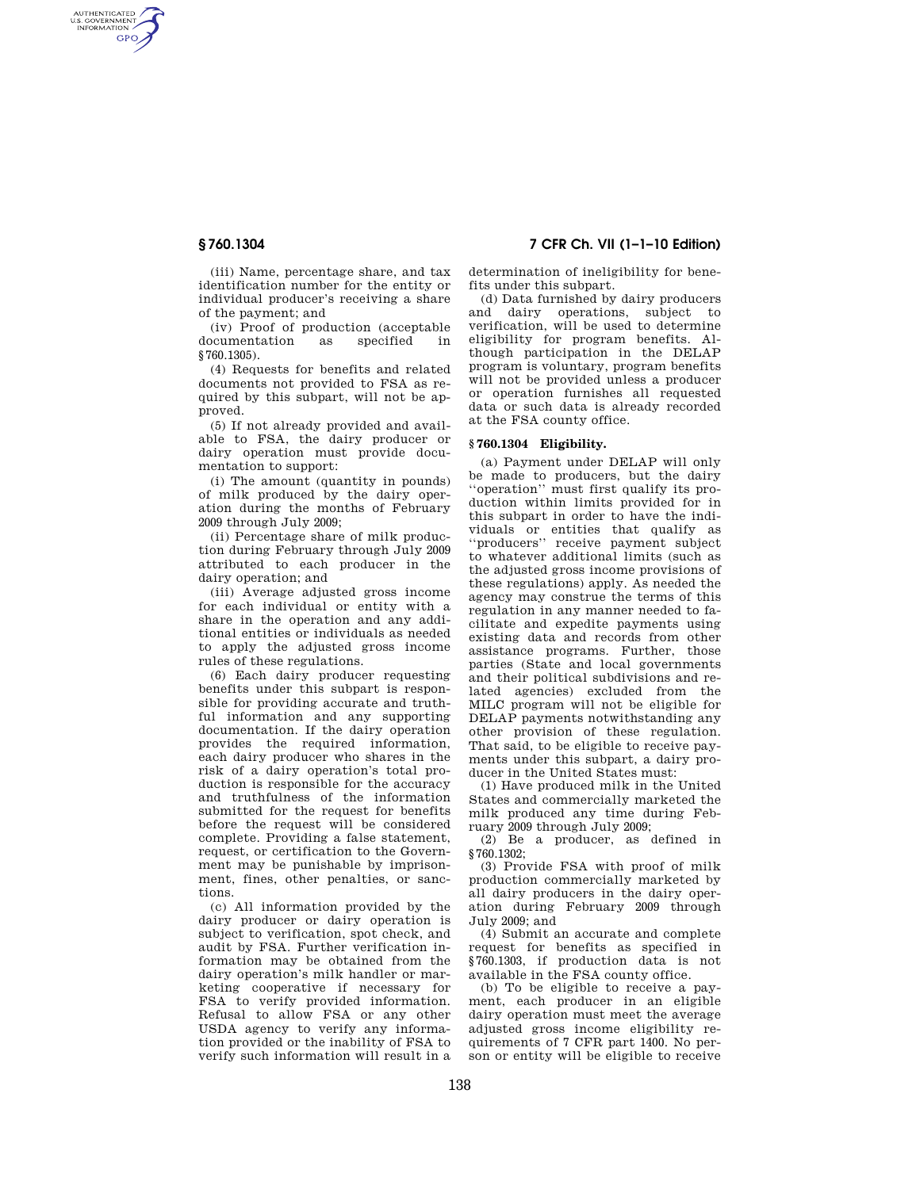AUTHENTICATED<br>U.S. GOVERNMENT<br>INFORMATION **GPO** 

> (iii) Name, percentage share, and tax identification number for the entity or individual producer's receiving a share of the payment; and

> (iv) Proof of production (acceptable documentation as specified in §760.1305).

> (4) Requests for benefits and related documents not provided to FSA as required by this subpart, will not be approved.

> (5) If not already provided and available to FSA, the dairy producer or dairy operation must provide documentation to support:

> (i) The amount (quantity in pounds) of milk produced by the dairy operation during the months of February 2009 through July 2009;

> (ii) Percentage share of milk production during February through July 2009 attributed to each producer in the dairy operation; and

> (iii) Average adjusted gross income for each individual or entity with a share in the operation and any additional entities or individuals as needed to apply the adjusted gross income rules of these regulations.

> (6) Each dairy producer requesting benefits under this subpart is responsible for providing accurate and truthful information and any supporting documentation. If the dairy operation provides the required information, each dairy producer who shares in the risk of a dairy operation's total production is responsible for the accuracy and truthfulness of the information submitted for the request for benefits before the request will be considered complete. Providing a false statement, request, or certification to the Government may be punishable by imprisonment, fines, other penalties, or sanctions.

> (c) All information provided by the dairy producer or dairy operation is subject to verification, spot check, and audit by FSA. Further verification information may be obtained from the dairy operation's milk handler or marketing cooperative if necessary for FSA to verify provided information. Refusal to allow FSA or any other USDA agency to verify any information provided or the inability of FSA to verify such information will result in a

**§ 760.1304 7 CFR Ch. VII (1–1–10 Edition)** 

determination of ineligibility for benefits under this subpart.

(d) Data furnished by dairy producers and dairy operations, subject to verification, will be used to determine eligibility for program benefits. Although participation in the DELAP program is voluntary, program benefits will not be provided unless a producer or operation furnishes all requested data or such data is already recorded at the FSA county office.

## **§ 760.1304 Eligibility.**

(a) Payment under DELAP will only be made to producers, but the dairy ''operation'' must first qualify its production within limits provided for in this subpart in order to have the individuals or entities that qualify as ''producers'' receive payment subject to whatever additional limits (such as the adjusted gross income provisions of these regulations) apply. As needed the agency may construe the terms of this regulation in any manner needed to facilitate and expedite payments using existing data and records from other assistance programs. Further, those parties (State and local governments and their political subdivisions and related agencies) excluded from the MILC program will not be eligible for DELAP payments notwithstanding any other provision of these regulation. That said, to be eligible to receive payments under this subpart, a dairy producer in the United States must:

(1) Have produced milk in the United States and commercially marketed the milk produced any time during February 2009 through July 2009;

(2) Be a producer, as defined in §760.1302;

(3) Provide FSA with proof of milk production commercially marketed by all dairy producers in the dairy operation during February 2009 through July 2009; and

(4) Submit an accurate and complete request for benefits as specified in §760.1303, if production data is not available in the FSA county office.

(b) To be eligible to receive a payment, each producer in an eligible dairy operation must meet the average adjusted gross income eligibility requirements of 7 CFR part 1400. No person or entity will be eligible to receive